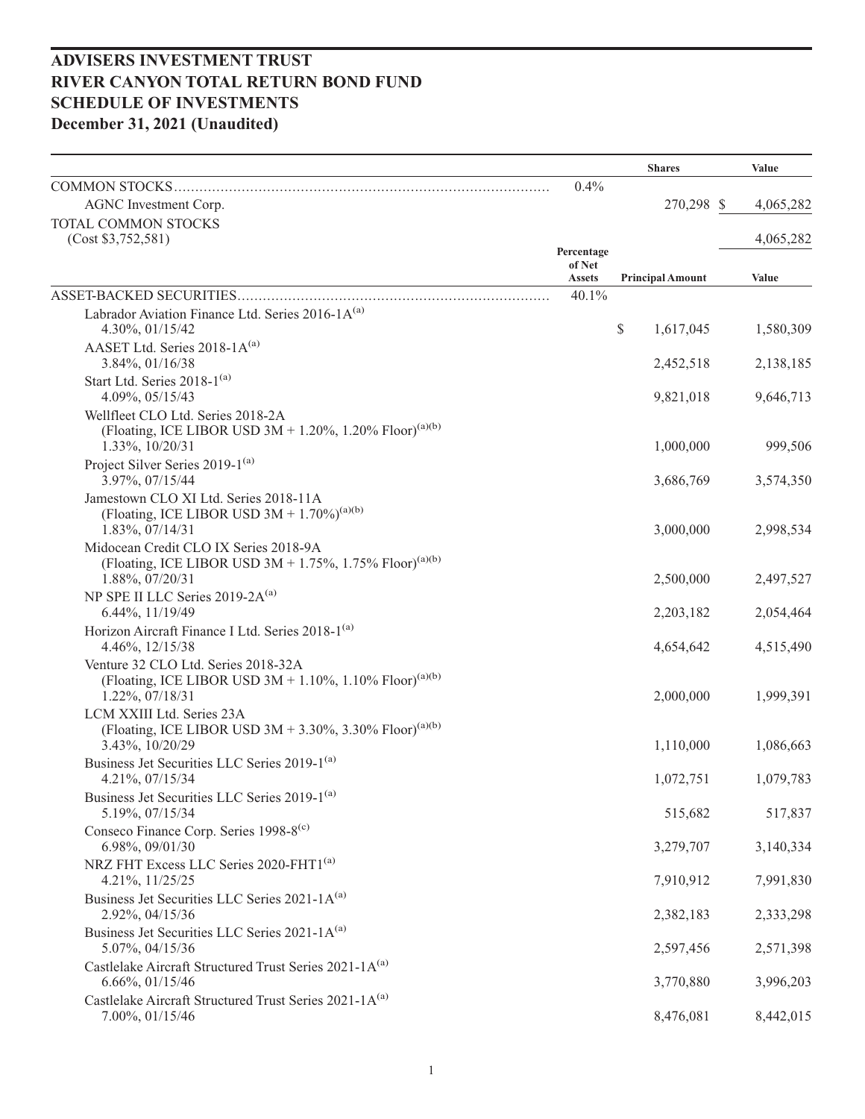|                                                                                        |                         | <b>Shares</b>           | Value     |
|----------------------------------------------------------------------------------------|-------------------------|-------------------------|-----------|
| COMMON STOCKS                                                                          | 0.4%                    |                         |           |
| AGNC Investment Corp.                                                                  |                         | 270,298 \$              | 4,065,282 |
| TOTAL COMMON STOCKS                                                                    |                         |                         |           |
| (Cost \$3,752,581)                                                                     | Percentage              |                         | 4,065,282 |
|                                                                                        | of Net<br><b>Assets</b> | <b>Principal Amount</b> | Value     |
| ASSET-BACKED SECURITIES                                                                | 40.1%                   |                         |           |
| Labrador Aviation Finance Ltd. Series 2016-1A(a)                                       |                         |                         |           |
| 4.30%, 01/15/42                                                                        |                         | \$<br>1,617,045         | 1,580,309 |
| AASET Ltd. Series 2018-1A(a)                                                           |                         |                         |           |
| 3.84%, 01/16/38                                                                        |                         | 2,452,518               | 2,138,185 |
| Start Ltd. Series 2018-1(a)<br>4.09%, 05/15/43                                         |                         | 9,821,018               | 9,646,713 |
| Wellfleet CLO Ltd. Series 2018-2A                                                      |                         |                         |           |
| (Floating, ICE LIBOR USD 3M + 1.20%, 1.20% Floor) <sup>(a)(b)</sup>                    |                         |                         |           |
| 1.33%, 10/20/31                                                                        |                         | 1,000,000               | 999,506   |
| Project Silver Series 2019-1 <sup>(a)</sup>                                            |                         |                         |           |
| 3.97%, 07/15/44<br>Jamestown CLO XI Ltd. Series 2018-11A                               |                         | 3,686,769               | 3,574,350 |
| (Floating, ICE LIBOR USD $3M + 1.70\%$ ) <sup>(a)(b)</sup>                             |                         |                         |           |
| $1.83\%, 07/14/31$                                                                     |                         | 3,000,000               | 2,998,534 |
| Midocean Credit CLO IX Series 2018-9A                                                  |                         |                         |           |
| (Floating, ICE LIBOR USD $3M + 1.75\%$ , 1.75% Floor) <sup>(a)(b)</sup>                |                         |                         |           |
| 1.88%, 07/20/31<br>NP SPE II LLC Series 2019-2A <sup>(a)</sup>                         |                         | 2,500,000               | 2,497,527 |
| 6.44%, 11/19/49                                                                        |                         | 2,203,182               | 2,054,464 |
| Horizon Aircraft Finance I Ltd. Series 2018-1 <sup>(a)</sup>                           |                         |                         |           |
| 4.46%, 12/15/38                                                                        |                         | 4,654,642               | 4,515,490 |
| Venture 32 CLO Ltd. Series 2018-32A                                                    |                         |                         |           |
| (Floating, ICE LIBOR USD 3M + 1.10%, 1.10% Floor) <sup>(a)(b)</sup><br>1.22%, 07/18/31 |                         | 2,000,000               | 1,999,391 |
| LCM XXIII Ltd. Series 23A                                                              |                         |                         |           |
| (Floating, ICE LIBOR USD 3M + 3.30%, 3.30% Floor) <sup>(a)(b)</sup>                    |                         |                         |           |
| 3.43%, 10/20/29                                                                        |                         | 1,110,000               | 1,086,663 |
| Business Jet Securities LLC Series 2019-1 <sup>(a)</sup>                               |                         |                         |           |
| 4.21%, 07/15/34                                                                        |                         | 1,072,751               | 1,079,783 |
| Business Jet Securities LLC Series 2019-1 <sup>(a)</sup><br>5.19%, 07/15/34            |                         | 515,682                 | 517,837   |
| Conseco Finance Corp. Series 1998-8 <sup>(c)</sup>                                     |                         |                         |           |
| 6.98%, 09/01/30                                                                        |                         | 3,279,707               | 3,140,334 |
| NRZ FHT Excess LLC Series 2020-FHT1 <sup>(a)</sup>                                     |                         |                         |           |
| 4.21%, 11/25/25                                                                        |                         | 7,910,912               | 7,991,830 |
| Business Jet Securities LLC Series 2021-1A(a)<br>2.92%, 04/15/36                       |                         | 2,382,183               | 2,333,298 |
| Business Jet Securities LLC Series 2021-1A(a)                                          |                         |                         |           |
| 5.07%, 04/15/36                                                                        |                         | 2,597,456               | 2,571,398 |
| Castlelake Aircraft Structured Trust Series 2021-1A(a)                                 |                         |                         |           |
| 6.66%, 01/15/46                                                                        |                         | 3,770,880               | 3,996,203 |
| Castlelake Aircraft Structured Trust Series 2021-1A(a)                                 |                         | 8,476,081               | 8,442,015 |
| 7.00%, 01/15/46                                                                        |                         |                         |           |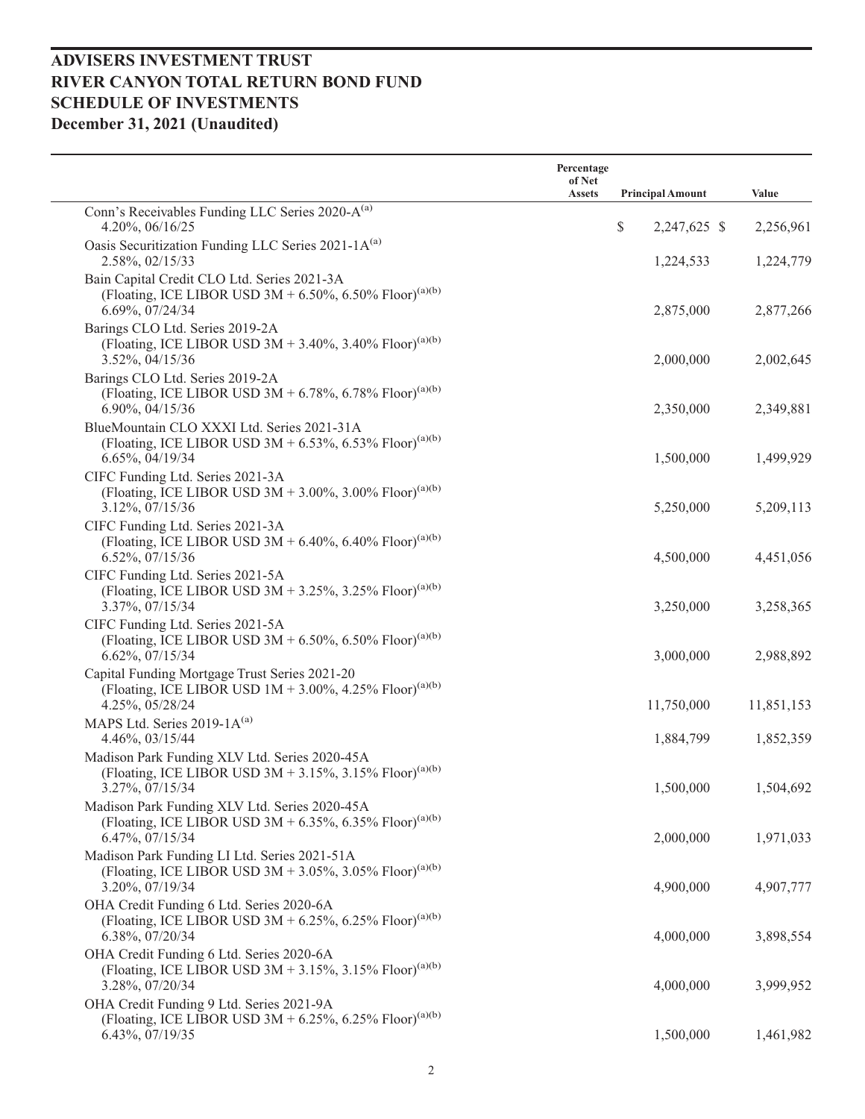|                                                                                                                                                | Percentage<br>of Net<br><b>Assets</b> | <b>Principal Amount</b> | Value      |
|------------------------------------------------------------------------------------------------------------------------------------------------|---------------------------------------|-------------------------|------------|
| Conn's Receivables Funding LLC Series 2020-A <sup>(a)</sup>                                                                                    |                                       |                         |            |
| 4.20%, 06/16/25                                                                                                                                |                                       | \$<br>2,247,625 \$      | 2,256,961  |
| Oasis Securitization Funding LLC Series 2021-1A(a)<br>2.58%, 02/15/33                                                                          |                                       | 1,224,533               | 1,224,779  |
| Bain Capital Credit CLO Ltd. Series 2021-3A<br>(Floating, ICE LIBOR USD 3M + 6.50%, 6.50% Floor) <sup>(a)(b)</sup><br>6.69%, 07/24/34          |                                       | 2,875,000               | 2,877,266  |
| Barings CLO Ltd. Series 2019-2A<br>(Floating, ICE LIBOR USD 3M + 3.40%, 3.40% Floor) <sup>(a)(b)</sup><br>3.52%, 04/15/36                      |                                       | 2,000,000               | 2,002,645  |
| Barings CLO Ltd. Series 2019-2A<br>(Floating, ICE LIBOR USD 3M + 6.78%, 6.78% Floor) <sup>(a)(b)</sup><br>6.90%, 04/15/36                      |                                       | 2,350,000               | 2,349,881  |
| BlueMountain CLO XXXI Ltd. Series 2021-31A<br>(Floating, ICE LIBOR USD 3M + 6.53%, 6.53% Floor) <sup>(a)(b)</sup><br>6.65%, 04/19/34           |                                       | 1,500,000               | 1,499,929  |
| CIFC Funding Ltd. Series 2021-3A<br>(Floating, ICE LIBOR USD 3M + 3.00%, 3.00% Floor) <sup>(a)(b)</sup><br>3.12%, 07/15/36                     |                                       | 5,250,000               | 5,209,113  |
| CIFC Funding Ltd. Series 2021-3A<br>(Floating, ICE LIBOR USD 3M + 6.40%, 6.40% Floor) <sup>(a)(b)</sup><br>6.52%, 07/15/36                     |                                       | 4,500,000               | 4,451,056  |
| CIFC Funding Ltd. Series 2021-5A<br>(Floating, ICE LIBOR USD 3M + 3.25%, 3.25% Floor) <sup>(a)(b)</sup><br>3.37%, 07/15/34                     |                                       | 3,250,000               | 3,258,365  |
| CIFC Funding Ltd. Series 2021-5A<br>(Floating, ICE LIBOR USD 3M + 6.50%, 6.50% Floor) <sup>(a)(b)</sup><br>6.62%, 07/15/34                     |                                       | 3,000,000               | 2,988,892  |
| Capital Funding Mortgage Trust Series 2021-20<br>(Floating, ICE LIBOR USD $1M + 3.00\%$ , 4.25% Floor) <sup>(a)(b)</sup><br>4.25%, 05/28/24    |                                       | 11,750,000              | 11,851,153 |
| MAPS Ltd. Series 2019-1A(a)<br>4.46%, 03/15/44                                                                                                 |                                       | 1,884,799               | 1,852,359  |
| Madison Park Funding XLV Ltd. Series 2020-45A<br>(Floating, ICE LIBOR USD $3M + 3.15\%$ , $3.15\%$ Floor) <sup>(a)(b)</sup><br>3.27%, 07/15/34 |                                       | 1,500,000               | 1,504,692  |
| Madison Park Funding XLV Ltd. Series 2020-45A<br>(Floating, ICE LIBOR USD 3M + 6.35%, 6.35% Floor) <sup>(a)(b)</sup><br>6.47%, 07/15/34        |                                       | 2,000,000               | 1,971,033  |
| Madison Park Funding LI Ltd. Series 2021-51A<br>(Floating, ICE LIBOR USD 3M + 3.05%, 3.05% Floor) <sup>(a)(b)</sup><br>3.20%, 07/19/34         |                                       | 4,900,000               | 4,907,777  |
| OHA Credit Funding 6 Ltd. Series 2020-6A<br>(Floating, ICE LIBOR USD 3M + 6.25%, 6.25% Floor) <sup>(a)(b)</sup><br>6.38%, 07/20/34             |                                       | 4,000,000               | 3,898,554  |
| OHA Credit Funding 6 Ltd. Series 2020-6A<br>(Floating, ICE LIBOR USD $3M + 3.15\%$ , 3.15% Floor) <sup>(a)(b)</sup><br>3.28%, 07/20/34         |                                       | 4,000,000               | 3,999,952  |
| OHA Credit Funding 9 Ltd. Series 2021-9A<br>(Floating, ICE LIBOR USD 3M + 6.25%, 6.25% Floor) <sup>(a)(b)</sup><br>6.43%, 07/19/35             |                                       | 1,500,000               | 1,461,982  |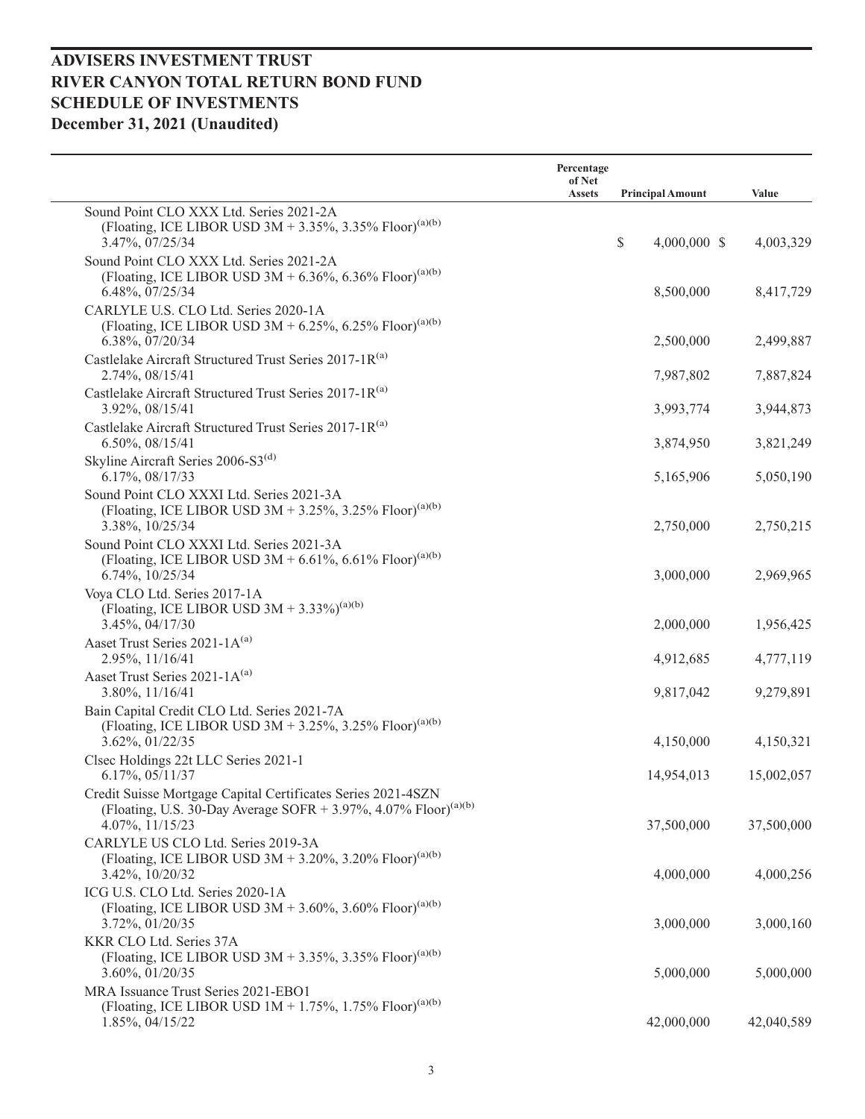|                                                                                                                                                                | Percentage<br>of Net |                         |            |
|----------------------------------------------------------------------------------------------------------------------------------------------------------------|----------------------|-------------------------|------------|
|                                                                                                                                                                | <b>Assets</b>        | <b>Principal Amount</b> | Value      |
| Sound Point CLO XXX Ltd. Series 2021-2A<br>(Floating, ICE LIBOR USD 3M + 3.35%, 3.35% Floor) <sup>(a)(b)</sup><br>3.47%, 07/25/34                              |                      | \$<br>$4,000,000$ \$    | 4,003,329  |
| Sound Point CLO XXX Ltd. Series 2021-2A<br>(Floating, ICE LIBOR USD 3M + 6.36%, 6.36% Floor) <sup>(a)(b)</sup><br>6.48%, 07/25/34                              |                      | 8,500,000               | 8,417,729  |
| CARLYLE U.S. CLO Ltd. Series 2020-1A<br>(Floating, ICE LIBOR USD 3M + 6.25%, 6.25% Floor) <sup>(a)(b)</sup><br>6.38%, 07/20/34                                 |                      | 2,500,000               | 2,499,887  |
| Castlelake Aircraft Structured Trust Series 2017-1R(a)<br>2.74%, 08/15/41                                                                                      |                      | 7,987,802               | 7,887,824  |
| Castlelake Aircraft Structured Trust Series 2017-1R(a)<br>3.92%, 08/15/41                                                                                      |                      | 3,993,774               | 3,944,873  |
| Castlelake Aircraft Structured Trust Series 2017-1R(a)<br>6.50%, 08/15/41                                                                                      |                      | 3,874,950               | 3,821,249  |
| Skyline Aircraft Series 2006-S3 <sup>(d)</sup><br>6.17%, 08/17/33                                                                                              |                      | 5,165,906               | 5,050,190  |
| Sound Point CLO XXXI Ltd. Series 2021-3A<br>(Floating, ICE LIBOR USD 3M + 3.25%, 3.25% Floor) <sup>(a)(b)</sup><br>3.38%, 10/25/34                             |                      | 2,750,000               | 2,750,215  |
| Sound Point CLO XXXI Ltd. Series 2021-3A<br>(Floating, ICE LIBOR USD 3M + 6.61%, 6.61% Floor) <sup>(a)(b)</sup><br>6.74%, 10/25/34                             |                      | 3,000,000               | 2,969,965  |
| Voya CLO Ltd. Series 2017-1A<br>(Floating, ICE LIBOR USD $3M + 3.33\%$ ) <sup>(a)(b)</sup><br>3.45%, 04/17/30                                                  |                      | 2,000,000               | 1,956,425  |
| Aaset Trust Series 2021-1A(a)<br>2.95%, 11/16/41                                                                                                               |                      | 4,912,685               | 4,777,119  |
| Aaset Trust Series 2021-1A(a)<br>3.80%, 11/16/41                                                                                                               |                      | 9,817,042               | 9,279,891  |
| Bain Capital Credit CLO Ltd. Series 2021-7A<br>(Floating, ICE LIBOR USD $3M + 3.25\%$ , 3.25% Floor) <sup>(a)(b)</sup><br>3.62%, 01/22/35                      |                      | 4,150,000               | 4,150,321  |
| Clsec Holdings 22t LLC Series 2021-1<br>6.17%, 05/11/37                                                                                                        |                      | 14,954,013              | 15,002,057 |
| Credit Suisse Mortgage Capital Certificates Series 2021-4SZN<br>(Floating, U.S. 30-Day Average SOFR + 3.97%, 4.07% Floor) <sup>(a)(b)</sup><br>4.07%, 11/15/23 |                      | 37,500,000              | 37,500,000 |
| CARLYLE US CLO Ltd. Series 2019-3A<br>(Floating, ICE LIBOR USD 3M + 3.20%, 3.20% Floor) <sup>(a)(b)</sup><br>3.42%, 10/20/32                                   |                      | 4,000,000               | 4,000,256  |
| ICG U.S. CLO Ltd. Series 2020-1A<br>(Floating, ICE LIBOR USD 3M + 3.60%, 3.60% Floor) <sup>(a)(b)</sup><br>3.72%, 01/20/35                                     |                      | 3,000,000               | 3,000,160  |
| KKR CLO Ltd. Series 37A<br>(Floating, ICE LIBOR USD 3M + 3.35%, 3.35% Floor) <sup>(a)(b)</sup><br>3.60%, 01/20/35                                              |                      | 5,000,000               | 5,000,000  |
| MRA Issuance Trust Series 2021-EBO1<br>(Floating, ICE LIBOR USD $1M + 1.75\%$ , 1.75% Floor) <sup>(a)(b)</sup><br>1.85%, 04/15/22                              |                      | 42,000,000              | 42,040,589 |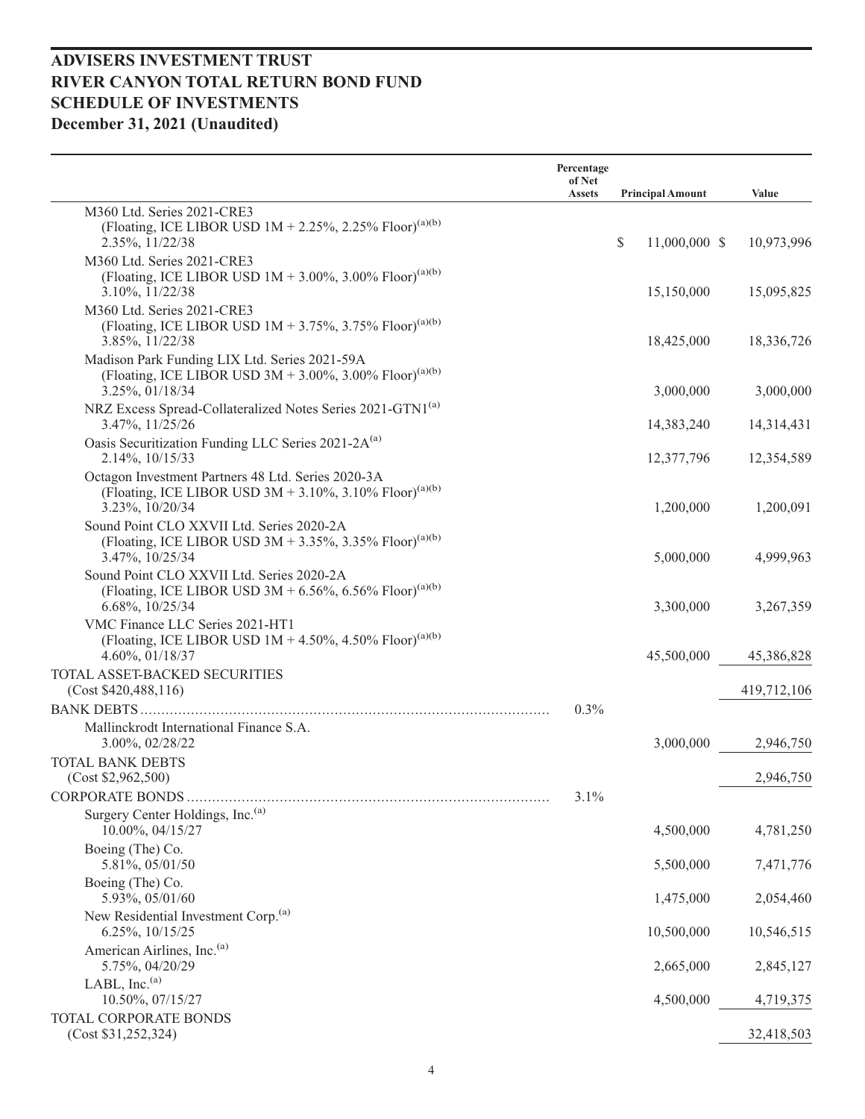|                                                                                                                                              | Percentage<br>of Net<br><b>Assets</b> | <b>Principal Amount</b> | Value       |
|----------------------------------------------------------------------------------------------------------------------------------------------|---------------------------------------|-------------------------|-------------|
| M360 Ltd. Series 2021-CRE3                                                                                                                   |                                       |                         |             |
| (Floating, ICE LIBOR USD $1M + 2.25\%$ , 2.25% Floor) <sup>(a)(b)</sup><br>2.35%, 11/22/38                                                   |                                       | \$<br>11,000,000 \$     | 10,973,996  |
| M360 Ltd. Series 2021-CRE3                                                                                                                   |                                       |                         |             |
| (Floating, ICE LIBOR USD $1M + 3.00\%$ , 3.00% Floor) <sup>(a)(b)</sup><br>3.10%, 11/22/38                                                   |                                       | 15,150,000              | 15,095,825  |
| M360 Ltd. Series 2021-CRE3<br>(Floating, ICE LIBOR USD $1M + 3.75\%$ , 3.75% Floor) <sup>(a)(b)</sup><br>3.85%, 11/22/38                     |                                       | 18,425,000              | 18,336,726  |
| Madison Park Funding LIX Ltd. Series 2021-59A<br>(Floating, ICE LIBOR USD 3M + 3.00%, 3.00% Floor) <sup>(a)(b)</sup><br>3.25%, 01/18/34      |                                       | 3,000,000               | 3,000,000   |
| NRZ Excess Spread-Collateralized Notes Series 2021-GTN1 <sup>(a)</sup><br>3.47%, 11/25/26                                                    |                                       | 14,383,240              | 14,314,431  |
| Oasis Securitization Funding LLC Series 2021-2A <sup>(a)</sup>                                                                               |                                       |                         |             |
| 2.14%, 10/15/33                                                                                                                              |                                       | 12,377,796              | 12,354,589  |
| Octagon Investment Partners 48 Ltd. Series 2020-3A<br>(Floating, ICE LIBOR USD 3M + 3.10%, 3.10% Floor) <sup>(a)(b)</sup><br>3.23%, 10/20/34 |                                       | 1,200,000               | 1,200,091   |
| Sound Point CLO XXVII Ltd. Series 2020-2A                                                                                                    |                                       |                         |             |
| (Floating, ICE LIBOR USD 3M + 3.35%, 3.35% Floor) <sup>(a)(b)</sup><br>3.47%, 10/25/34                                                       |                                       | 5,000,000               | 4,999,963   |
| Sound Point CLO XXVII Ltd. Series 2020-2A<br>(Floating, ICE LIBOR USD 3M + 6.56%, 6.56% Floor) <sup>(a)(b)</sup><br>6.68%, 10/25/34          |                                       | 3,300,000               | 3,267,359   |
| VMC Finance LLC Series 2021-HT1<br>(Floating, ICE LIBOR USD $1M + 4.50\%$ , 4.50% Floor) <sup>(a)(b)</sup><br>4.60%, 01/18/37                |                                       | 45,500,000              | 45,386,828  |
| TOTAL ASSET-BACKED SECURITIES                                                                                                                |                                       |                         |             |
| (Cost \$420,488,116)                                                                                                                         |                                       |                         | 419,712,106 |
|                                                                                                                                              | 0.3%                                  |                         |             |
| Mallinckrodt International Finance S.A.<br>3.00%, 02/28/22                                                                                   |                                       | 3,000,000               | 2,946,750   |
| <b>TOTAL BANK DEBTS</b><br>(Cost \$2,962,500)                                                                                                |                                       |                         | 2,946,750   |
|                                                                                                                                              | 3.1%                                  |                         |             |
| Surgery Center Holdings, Inc. <sup>(a)</sup><br>10.00%, 04/15/27                                                                             |                                       | 4,500,000               | 4,781,250   |
| Boeing (The) Co.<br>5.81%, 05/01/50                                                                                                          |                                       | 5,500,000               | 7,471,776   |
| Boeing (The) Co.<br>5.93%, 05/01/60                                                                                                          |                                       | 1,475,000               | 2,054,460   |
| New Residential Investment Corp. <sup>(a)</sup><br>6.25%, 10/15/25                                                                           |                                       | 10,500,000              | 10,546,515  |
| American Airlines, Inc. <sup>(a)</sup><br>5.75%, 04/20/29                                                                                    |                                       | 2,665,000               | 2,845,127   |
| LABL, Inc. <sup>(a)</sup><br>10.50%, 07/15/27                                                                                                |                                       | 4,500,000               | 4,719,375   |
| TOTAL CORPORATE BONDS<br>(Cost \$31,252,324)                                                                                                 |                                       |                         | 32,418,503  |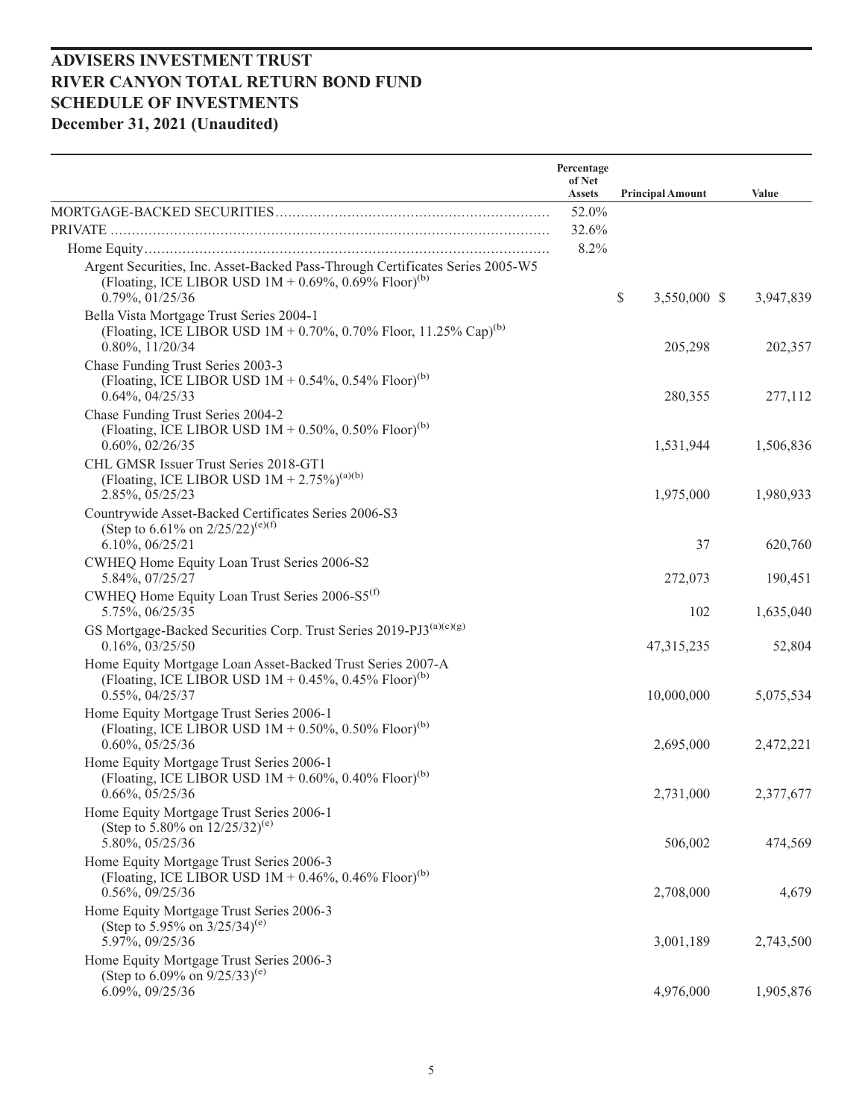|                                                                                                                                                                          | Percentage<br>of Net<br><b>Assets</b> | <b>Principal Amount</b> | Value     |
|--------------------------------------------------------------------------------------------------------------------------------------------------------------------------|---------------------------------------|-------------------------|-----------|
|                                                                                                                                                                          | 52.0%                                 |                         |           |
|                                                                                                                                                                          | 32.6%                                 |                         |           |
|                                                                                                                                                                          | 8.2%                                  |                         |           |
| Argent Securities, Inc. Asset-Backed Pass-Through Certificates Series 2005-W5<br>(Floating, ICE LIBOR USD $1M + 0.69\%$ , 0.69% Floor) <sup>(b)</sup><br>0.79%, 01/25/36 |                                       | \$<br>3,550,000 \$      | 3,947,839 |
| Bella Vista Mortgage Trust Series 2004-1<br>(Floating, ICE LIBOR USD $1M + 0.70\%$ , 0.70% Floor, 11.25% Cap) <sup>(b)</sup><br>$0.80\%, 11/20/34$                       |                                       | 205,298                 | 202,357   |
| Chase Funding Trust Series 2003-3<br>(Floating, ICE LIBOR USD $1M + 0.54\%$ , 0.54% Floor) <sup>(b)</sup><br>$0.64\%, 04/25/33$                                          |                                       | 280,355                 | 277,112   |
| Chase Funding Trust Series 2004-2<br>(Floating, ICE LIBOR USD $1M + 0.50\%$ , 0.50% Floor) <sup>(b)</sup><br>$0.60\%, 02/26/35$                                          |                                       | 1,531,944               | 1,506,836 |
| CHL GMSR Issuer Trust Series 2018-GT1<br>(Floating, ICE LIBOR USD $1M + 2.75\%$ ) <sup>(a)(b)</sup><br>2.85%, 05/25/23                                                   |                                       | 1,975,000               | 1,980,933 |
| Countrywide Asset-Backed Certificates Series 2006-S3<br>(Step to 6.61% on $2/25/22$ ) <sup>(e)(f)</sup><br>$6.10\%, 06/25/21$                                            |                                       | 37                      | 620,760   |
| CWHEQ Home Equity Loan Trust Series 2006-S2<br>5.84%, 07/25/27                                                                                                           |                                       | 272,073                 | 190,451   |
| CWHEQ Home Equity Loan Trust Series 2006-S5 <sup>(f)</sup><br>5.75%, 06/25/35                                                                                            |                                       | 102                     | 1,635,040 |
| GS Mortgage-Backed Securities Corp. Trust Series 2019-PJ3(a)(c)(g)<br>$0.16\%, 03/25/50$                                                                                 |                                       | 47, 315, 235            | 52,804    |
| Home Equity Mortgage Loan Asset-Backed Trust Series 2007-A<br>(Floating, ICE LIBOR USD $1M + 0.45\%$ , 0.45% Floor) <sup>(b)</sup><br>$0.55\%, 04/25/37$                 |                                       | 10,000,000              | 5,075,534 |
| Home Equity Mortgage Trust Series 2006-1<br>(Floating, ICE LIBOR USD $1M + 0.50\%$ , 0.50% Floor) <sup>(b)</sup><br>$0.60\%, 05/25/36$                                   |                                       | 2,695,000               | 2,472,221 |
| Home Equity Mortgage Trust Series 2006-1<br>(Floating, ICE LIBOR USD $1M + 0.60\%$ , 0.40% Floor) <sup>(b)</sup><br>$0.66\%, 05/25/36$                                   |                                       | 2,731,000               | 2,377,677 |
| Home Equity Mortgage Trust Series 2006-1<br>(Step to 5.80% on $12/25/32$ ) <sup>(e)</sup><br>5.80%, 05/25/36                                                             |                                       | 506,002                 | 474,569   |
| Home Equity Mortgage Trust Series 2006-3<br>(Floating, ICE LIBOR USD $1M + 0.46\%$ , 0.46% Floor) <sup>(b)</sup><br>$0.56\%, 09/25/36$                                   |                                       | 2,708,000               | 4,679     |
| Home Equity Mortgage Trust Series 2006-3<br>(Step to 5.95% on $3/25/34$ ) <sup>(e)</sup><br>5.97%, 09/25/36                                                              |                                       | 3,001,189               | 2,743,500 |
| Home Equity Mortgage Trust Series 2006-3<br>(Step to 6.09% on $9/25/33$ ) <sup>(e)</sup><br>6.09%, 09/25/36                                                              |                                       | 4,976,000               | 1,905,876 |
|                                                                                                                                                                          |                                       |                         |           |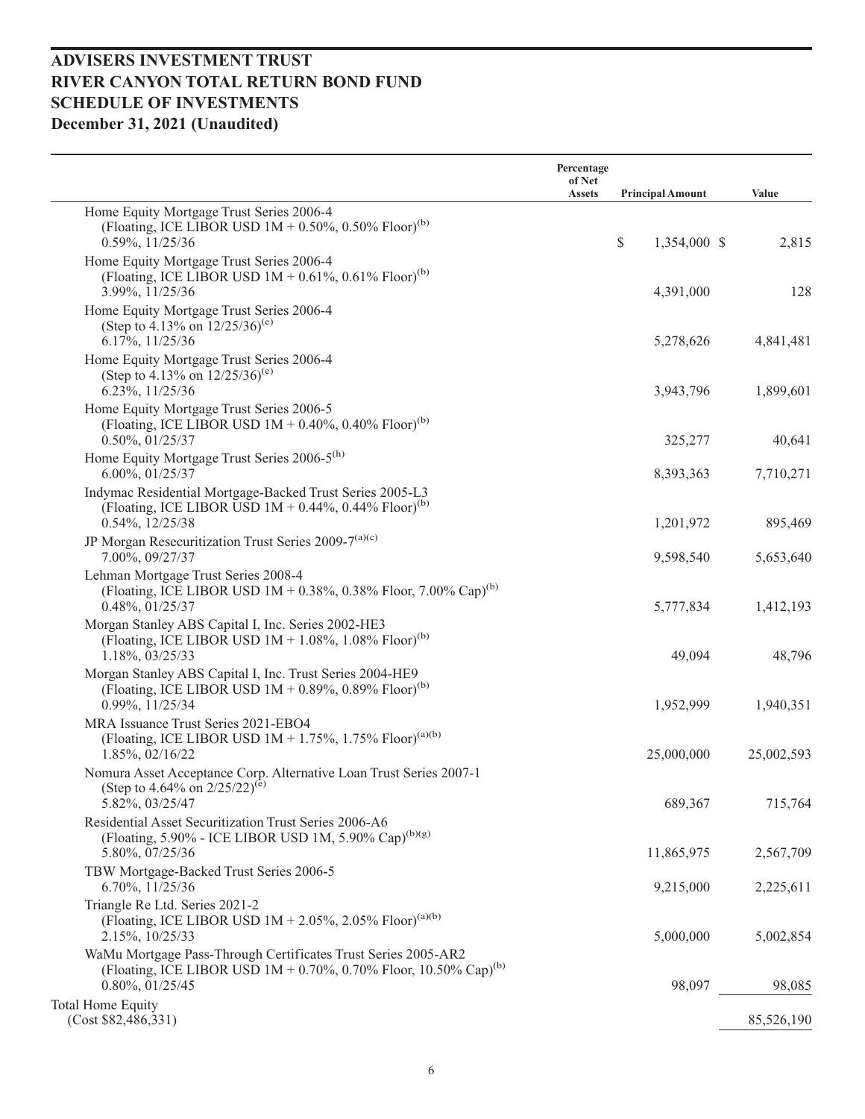|                                                                                                                                                                         | Percentage<br>of Net<br><b>Assets</b> | <b>Principal Amount</b> | Value      |
|-------------------------------------------------------------------------------------------------------------------------------------------------------------------------|---------------------------------------|-------------------------|------------|
| Home Equity Mortgage Trust Series 2006-4<br>(Floating, ICE LIBOR USD $1M + 0.50\%$ , 0.50% Floor) <sup>(b)</sup><br>0.59%, 11/25/36                                     |                                       | \$<br>1,354,000 \$      | 2,815      |
| Home Equity Mortgage Trust Series 2006-4<br>(Floating, ICE LIBOR USD $1M + 0.61\%$ , 0.61% Floor) <sup>(b)</sup><br>3.99%, 11/25/36                                     |                                       | 4,391,000               | 128        |
| Home Equity Mortgage Trust Series 2006-4<br>(Step to 4.13% on $12/25/36$ <sup>(e)</sup><br>6.17%, 11/25/36                                                              |                                       | 5,278,626               | 4,841,481  |
| Home Equity Mortgage Trust Series 2006-4<br>(Step to 4.13% on $12/25/36$ <sup>(e)</sup><br>6.23%, 11/25/36                                                              |                                       | 3,943,796               | 1,899,601  |
| Home Equity Mortgage Trust Series 2006-5<br>(Floating, ICE LIBOR USD $1M + 0.40\%$ , 0.40% Floor) <sup>(b)</sup><br>$0.50\%, 01/25/37$                                  |                                       | 325,277                 | 40,641     |
| Home Equity Mortgage Trust Series 2006-5 <sup>(h)</sup><br>6.00%, 01/25/37                                                                                              |                                       | 8,393,363               | 7,710,271  |
| Indymac Residential Mortgage-Backed Trust Series 2005-L3<br>(Floating, ICE LIBOR USD $1M + 0.44\%$ , 0.44% Floor) <sup>(b)</sup><br>$0.54\%, 12/25/38$                  |                                       | 1,201,972               | 895,469    |
| JP Morgan Resecuritization Trust Series 2009-7 <sup>(a)(c)</sup><br>7.00%, 09/27/37                                                                                     |                                       | 9,598,540               | 5,653,640  |
| Lehman Mortgage Trust Series 2008-4<br>(Floating, ICE LIBOR USD $1M + 0.38\%$ , 0.38% Floor, 7.00% Cap) <sup>(b)</sup><br>$0.48\%, 01/25/37$                            |                                       | 5,777,834               | 1,412,193  |
| Morgan Stanley ABS Capital I, Inc. Series 2002-HE3<br>(Floating, ICE LIBOR USD $1M + 1.08\%$ , $1.08\%$ Floor) <sup>(b)</sup><br>1.18%, 03/25/33                        |                                       | 49,094                  | 48,796     |
| Morgan Stanley ABS Capital I, Inc. Trust Series 2004-HE9<br>(Floating, ICE LIBOR USD $1M + 0.89\%$ , 0.89% Floor) <sup>(b)</sup><br>0.99%, 11/25/34                     |                                       | 1,952,999               | 1,940,351  |
| MRA Issuance Trust Series 2021-EBO4<br>(Floating, ICE LIBOR USD $1M + 1.75\%$ , 1.75% Floor) <sup>(a)(b)</sup><br>1.85%, 02/16/22                                       |                                       | 25,000,000              | 25,002,593 |
| Nomura Asset Acceptance Corp. Alternative Loan Trust Series 2007-1<br>(Step to 4.64% on $2/25/22^{(e)}$<br>5.82%, 03/25/47                                              |                                       | 689,367                 | 715,764    |
| Residential Asset Securitization Trust Series 2006-A6<br>(Floating, 5.90% - ICE LIBOR USD 1M, 5.90% Cap) <sup>(b)(g)</sup><br>5.80%, 07/25/36                           |                                       | 11,865,975              | 2,567,709  |
| TBW Mortgage-Backed Trust Series 2006-5<br>$6.70\%, 11/25/36$                                                                                                           |                                       | 9,215,000               | 2,225,611  |
| Triangle Re Ltd. Series 2021-2<br>(Floating, ICE LIBOR USD $1M + 2.05\%$ , 2.05% Floor) <sup>(a)(b)</sup><br>2.15%, 10/25/33                                            |                                       | 5,000,000               | 5,002,854  |
| WaMu Mortgage Pass-Through Certificates Trust Series 2005-AR2<br>(Floating, ICE LIBOR USD $1M + 0.70\%$ , 0.70% Floor, 10.50% Cap) <sup>(b)</sup><br>$0.80\%, 01/25/45$ |                                       | 98,097                  | 98,085     |
| <b>Total Home Equity</b><br>(Cost \$82,486,331)                                                                                                                         |                                       |                         | 85,526,190 |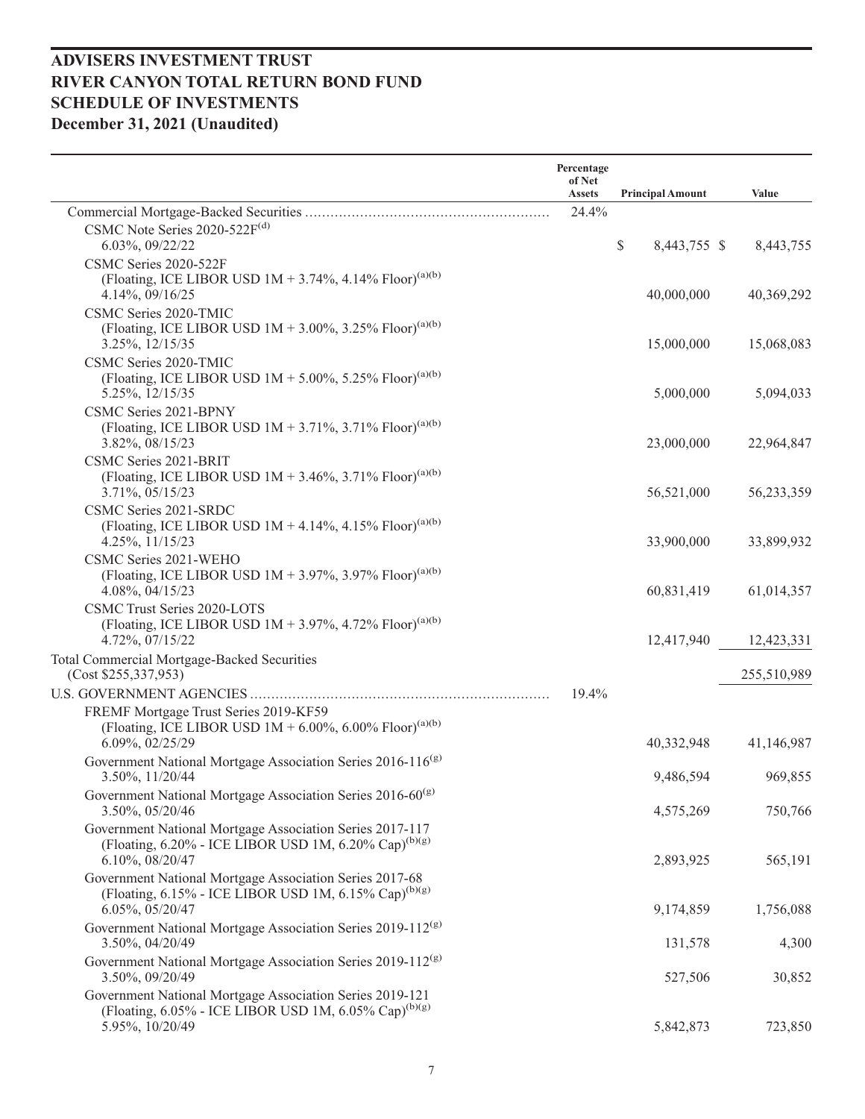|                                                                                                                                                        | Percentage<br>of Net<br><b>Assets</b> | <b>Principal Amount</b> | Value       |
|--------------------------------------------------------------------------------------------------------------------------------------------------------|---------------------------------------|-------------------------|-------------|
|                                                                                                                                                        | 24.4%                                 |                         |             |
| CSMC Note Series $2020-522F^{(d)}$<br>6.03%, 09/22/22                                                                                                  |                                       | \$<br>8,443,755 \$      | 8,443,755   |
| CSMC Series 2020-522F<br>(Floating, ICE LIBOR USD $1M + 3.74\%$ , 4.14% Floor) <sup>(a)(b)</sup><br>4.14%, 09/16/25                                    |                                       | 40,000,000              | 40,369,292  |
| CSMC Series 2020-TMIC<br>(Floating, ICE LIBOR USD $1M + 3.00\%$ , 3.25% Floor) <sup>(a)(b)</sup><br>3.25%, 12/15/35                                    |                                       | 15,000,000              | 15,068,083  |
| CSMC Series 2020-TMIC<br>(Floating, ICE LIBOR USD $1M + 5.00\%$ , 5.25% Floor) <sup>(a)(b)</sup><br>5.25%, 12/15/35                                    |                                       | 5,000,000               | 5,094,033   |
| CSMC Series 2021-BPNY<br>(Floating, ICE LIBOR USD $1M + 3.71\%$ , 3.71% Floor) <sup>(a)(b)</sup><br>3.82%, 08/15/23                                    |                                       | 23,000,000              | 22,964,847  |
| CSMC Series 2021-BRIT<br>(Floating, ICE LIBOR USD $1M + 3.46\%$ , 3.71% Floor) <sup>(a)(b)</sup><br>3.71%, 05/15/23                                    |                                       | 56,521,000              | 56,233,359  |
| CSMC Series 2021-SRDC<br>(Floating, ICE LIBOR USD $1M + 4.14\%$ , 4.15% Floor) <sup>(a)(b)</sup><br>4.25%, 11/15/23                                    |                                       | 33,900,000              | 33,899,932  |
| CSMC Series 2021-WEHO<br>(Floating, ICE LIBOR USD $1M + 3.97\%$ , 3.97% Floor) <sup>(a)(b)</sup><br>4.08%, 04/15/23                                    |                                       | 60,831,419              | 61,014,357  |
| CSMC Trust Series 2020-LOTS<br>(Floating, ICE LIBOR USD $1M + 3.97\%$ , 4.72% Floor) <sup>(a)(b)</sup><br>4.72%, 07/15/22                              |                                       | 12,417,940              | 12,423,331  |
| Total Commercial Mortgage-Backed Securities<br>(Cost \$255,337,953)                                                                                    |                                       |                         | 255,510,989 |
|                                                                                                                                                        | 19.4%                                 |                         |             |
| FREMF Mortgage Trust Series 2019-KF59<br>(Floating, ICE LIBOR USD $1M + 6.00\%$ , 6.00% Floor) <sup>(a)(b)</sup><br>6.09%, 02/25/29                    |                                       | 40,332,948              | 41,146,987  |
| Government National Mortgage Association Series 2016-116 <sup>(g)</sup><br>3.50%, 11/20/44                                                             |                                       | 9,486,594               | 969,855     |
| Government National Mortgage Association Series 2016-60 <sup>(g)</sup><br>3.50%, 05/20/46                                                              |                                       | 4,575,269               | 750,766     |
| Government National Mortgage Association Series 2017-117<br>(Floating, 6.20% - ICE LIBOR USD 1M, 6.20% Cap) <sup>(b)(g)</sup><br>$6.10\%, 08/20/47$    |                                       | 2,893,925               | 565,191     |
| Government National Mortgage Association Series 2017-68<br>(Floating, 6.15% - ICE LIBOR USD 1M, 6.15% Cap) <sup>(b)(g)</sup><br>6.05%, 05/20/47        |                                       | 9,174,859               | 1,756,088   |
| Government National Mortgage Association Series 2019-112 <sup>(g)</sup><br>3.50%, 04/20/49                                                             |                                       | 131,578                 | 4,300       |
| Government National Mortgage Association Series 2019-112 <sup>(g)</sup><br>3.50%, 09/20/49                                                             |                                       | 527,506                 | 30,852      |
| Government National Mortgage Association Series 2019-121<br>(Floating, $6.05\%$ - ICE LIBOR USD 1M, $6.05\%$ Cap) <sup>(b)(g)</sup><br>5.95%, 10/20/49 |                                       | 5,842,873               | 723,850     |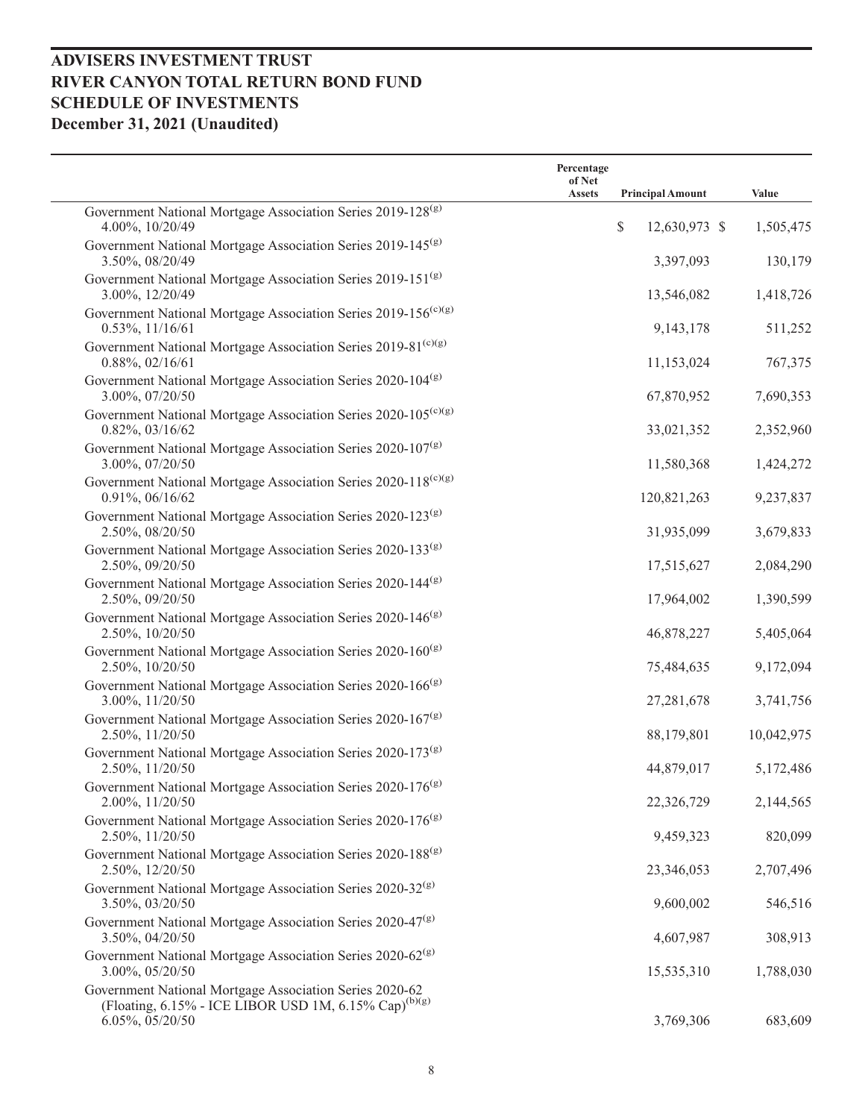|                                                                                                                              | Percentage<br>of Net |                         |            |
|------------------------------------------------------------------------------------------------------------------------------|----------------------|-------------------------|------------|
|                                                                                                                              | <b>Assets</b>        | <b>Principal Amount</b> | Value      |
| Government National Mortgage Association Series 2019-128 <sup>(g)</sup><br>4.00%, 10/20/49                                   |                      | \$<br>12,630,973 \$     | 1,505,475  |
| Government National Mortgage Association Series 2019-145 <sup>(g)</sup><br>3.50%, 08/20/49                                   |                      | 3,397,093               | 130,179    |
| Government National Mortgage Association Series 2019-151 <sup>(g)</sup><br>3.00%, 12/20/49                                   |                      | 13,546,082              | 1,418,726  |
| Government National Mortgage Association Series 2019-156 <sup>(c)(g)</sup><br>$0.53\%, 11/16/61$                             |                      | 9,143,178               | 511,252    |
| Government National Mortgage Association Series 2019-81 <sup>(c)(g)</sup><br>$0.88\%, 02/16/61$                              |                      | 11,153,024              | 767,375    |
| Government National Mortgage Association Series 2020-104 <sup>(g)</sup><br>3.00%, 07/20/50                                   |                      | 67,870,952              | 7,690,353  |
| Government National Mortgage Association Series 2020-105 <sup>(c)(g)</sup><br>$0.82\%, 03/16/62$                             |                      | 33,021,352              | 2,352,960  |
| Government National Mortgage Association Series 2020-107 <sup>(g)</sup>                                                      |                      |                         |            |
| 3.00%, 07/20/50<br>Government National Mortgage Association Series 2020-118 <sup>(c)(g)</sup>                                |                      | 11,580,368              | 1,424,272  |
| 0.91%, 06/16/62<br>Government National Mortgage Association Series 2020-123 <sup>(g)</sup>                                   |                      | 120,821,263             | 9,237,837  |
| 2.50%, 08/20/50<br>Government National Mortgage Association Series 2020-133 <sup>(g)</sup>                                   |                      | 31,935,099              | 3,679,833  |
| 2.50%, 09/20/50<br>Government National Mortgage Association Series 2020-144 <sup>(g)</sup>                                   |                      | 17,515,627              | 2,084,290  |
| 2.50%, 09/20/50<br>Government National Mortgage Association Series 2020-146 <sup>(g)</sup>                                   |                      | 17,964,002              | 1,390,599  |
| 2.50%, 10/20/50<br>Government National Mortgage Association Series 2020-160 <sup>(g)</sup>                                   |                      | 46,878,227              | 5,405,064  |
| 2.50%, 10/20/50<br>Government National Mortgage Association Series 2020-166 <sup>(g)</sup>                                   |                      | 75,484,635              | 9,172,094  |
| 3.00%, 11/20/50                                                                                                              |                      | 27,281,678              | 3,741,756  |
| Government National Mortgage Association Series 2020-167 <sup>(g)</sup><br>2.50%, 11/20/50                                   |                      | 88,179,801              | 10,042,975 |
| Government National Mortgage Association Series 2020-173 <sup>(g)</sup><br>2.50%, 11/20/50                                   |                      | 44,879,017              | 5,172,486  |
| Government National Mortgage Association Series 2020-176 <sup>(g)</sup><br>2.00%, 11/20/50                                   |                      | 22,326,729              | 2,144,565  |
| Government National Mortgage Association Series 2020-176 <sup>(g)</sup><br>2.50%, 11/20/50                                   |                      | 9,459,323               | 820,099    |
| Government National Mortgage Association Series 2020-188 <sup>(g)</sup><br>2.50%, 12/20/50                                   |                      | 23,346,053              | 2,707,496  |
| Government National Mortgage Association Series 2020-32 <sup>(g)</sup><br>3.50%, 03/20/50                                    |                      | 9,600,002               | 546,516    |
| Government National Mortgage Association Series 2020-47 <sup>(g)</sup><br>3.50%, 04/20/50                                    |                      | 4,607,987               | 308,913    |
| Government National Mortgage Association Series 2020-62 <sup>(g)</sup><br>3.00%, 05/20/50                                    |                      | 15,535,310              | 1,788,030  |
| Government National Mortgage Association Series 2020-62<br>(Floating, 6.15% - ICE LIBOR USD 1M, 6.15% Cap) <sup>(b)(g)</sup> |                      |                         |            |
| 6.05%, 05/20/50                                                                                                              |                      | 3,769,306               | 683,609    |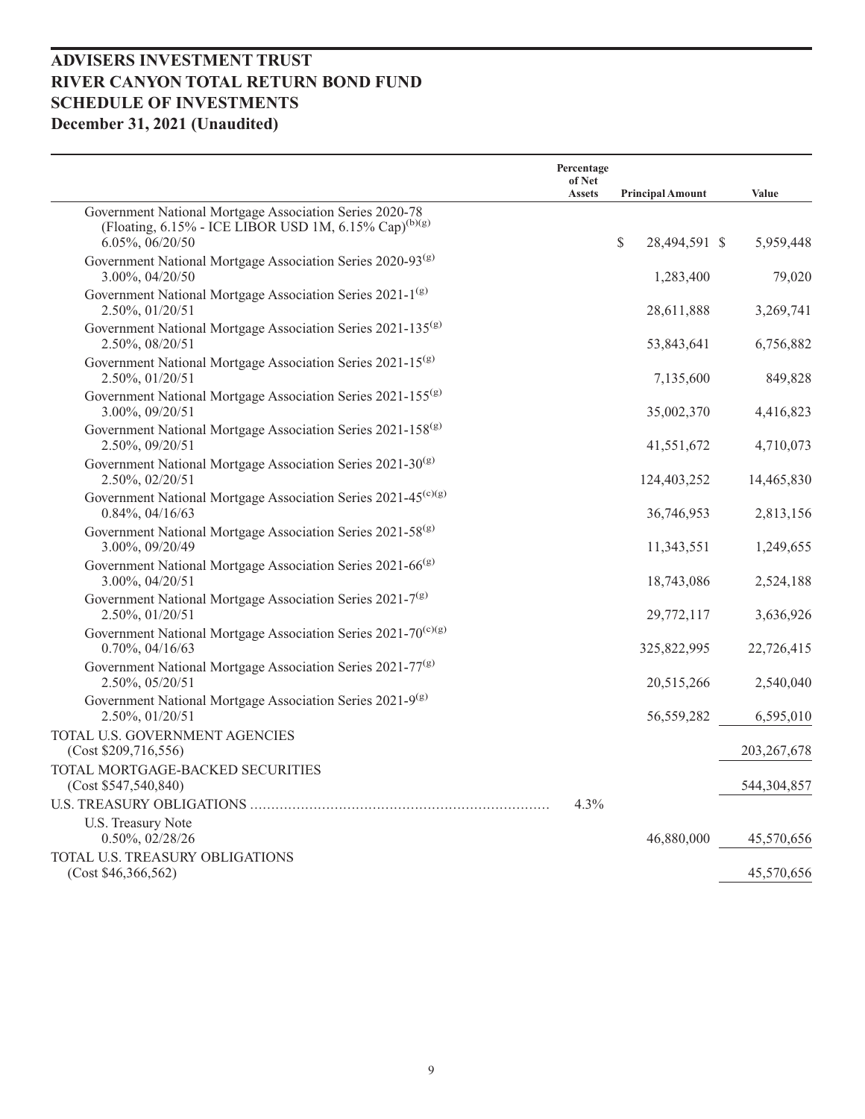|                                                                                                                                                       | Percentage<br>of Net |                         |               |
|-------------------------------------------------------------------------------------------------------------------------------------------------------|----------------------|-------------------------|---------------|
|                                                                                                                                                       | <b>Assets</b>        | <b>Principal Amount</b> | Value         |
| Government National Mortgage Association Series 2020-78<br>(Floating, $6.15\%$ - ICE LIBOR USD 1M, $6.15\%$ Cap) <sup>(b)(g)</sup><br>6.05%, 06/20/50 |                      | \$<br>28,494,591 \$     | 5,959,448     |
| Government National Mortgage Association Series 2020-93 <sup>(g)</sup><br>3.00%, 04/20/50                                                             |                      | 1,283,400               | 79,020        |
| Government National Mortgage Association Series 2021-1 <sup>(g)</sup><br>2.50%, 01/20/51                                                              |                      | 28,611,888              | 3,269,741     |
| Government National Mortgage Association Series 2021-135 <sup>(g)</sup><br>2.50%, 08/20/51                                                            |                      | 53,843,641              | 6,756,882     |
| Government National Mortgage Association Series 2021-15 <sup>(g)</sup><br>2.50%, 01/20/51                                                             |                      | 7,135,600               | 849,828       |
| Government National Mortgage Association Series 2021-155 <sup>(g)</sup><br>3.00%, 09/20/51                                                            |                      | 35,002,370              | 4,416,823     |
| Government National Mortgage Association Series 2021-158 <sup>(g)</sup><br>2.50%, 09/20/51                                                            |                      | 41,551,672              | 4,710,073     |
| Government National Mortgage Association Series 2021-30 <sup>(g)</sup><br>2.50%, 02/20/51                                                             |                      | 124,403,252             | 14,465,830    |
| Government National Mortgage Association Series 2021-45 <sup>(c)(g)</sup><br>$0.84\%, 04/16/63$                                                       |                      | 36,746,953              | 2,813,156     |
| Government National Mortgage Association Series 2021-58 <sup>(g)</sup><br>3.00%, 09/20/49                                                             |                      | 11,343,551              | 1,249,655     |
| Government National Mortgage Association Series 2021-66 <sup>(g)</sup><br>3.00%, 04/20/51                                                             |                      | 18,743,086              | 2,524,188     |
| Government National Mortgage Association Series 2021-7 <sup>(g)</sup><br>2.50%, 01/20/51                                                              |                      | 29,772,117              | 3,636,926     |
| Government National Mortgage Association Series 2021-70 <sup>(c)(g)</sup><br>$0.70\%, 04/16/63$                                                       |                      | 325,822,995             | 22,726,415    |
| Government National Mortgage Association Series 2021-77 <sup>(g)</sup><br>2.50%, 05/20/51                                                             |                      | 20,515,266              | 2,540,040     |
| Government National Mortgage Association Series 2021-9 <sup>(g)</sup><br>2.50%, 01/20/51                                                              |                      | 56,559,282              | 6,595,010     |
| TOTAL U.S. GOVERNMENT AGENCIES<br>(Cost \$209, 716, 556)                                                                                              |                      |                         | 203, 267, 678 |
| TOTAL MORTGAGE-BACKED SECURITIES<br>(Cost \$547,540,840)                                                                                              |                      |                         | 544,304,857   |
|                                                                                                                                                       | $4.3\%$              |                         |               |
| <b>U.S. Treasury Note</b><br>0.50%, 02/28/26                                                                                                          |                      | 46,880,000              | 45,570,656    |
| TOTAL U.S. TREASURY OBLIGATIONS<br>(Cost \$46,366,562)                                                                                                |                      |                         | 45,570,656    |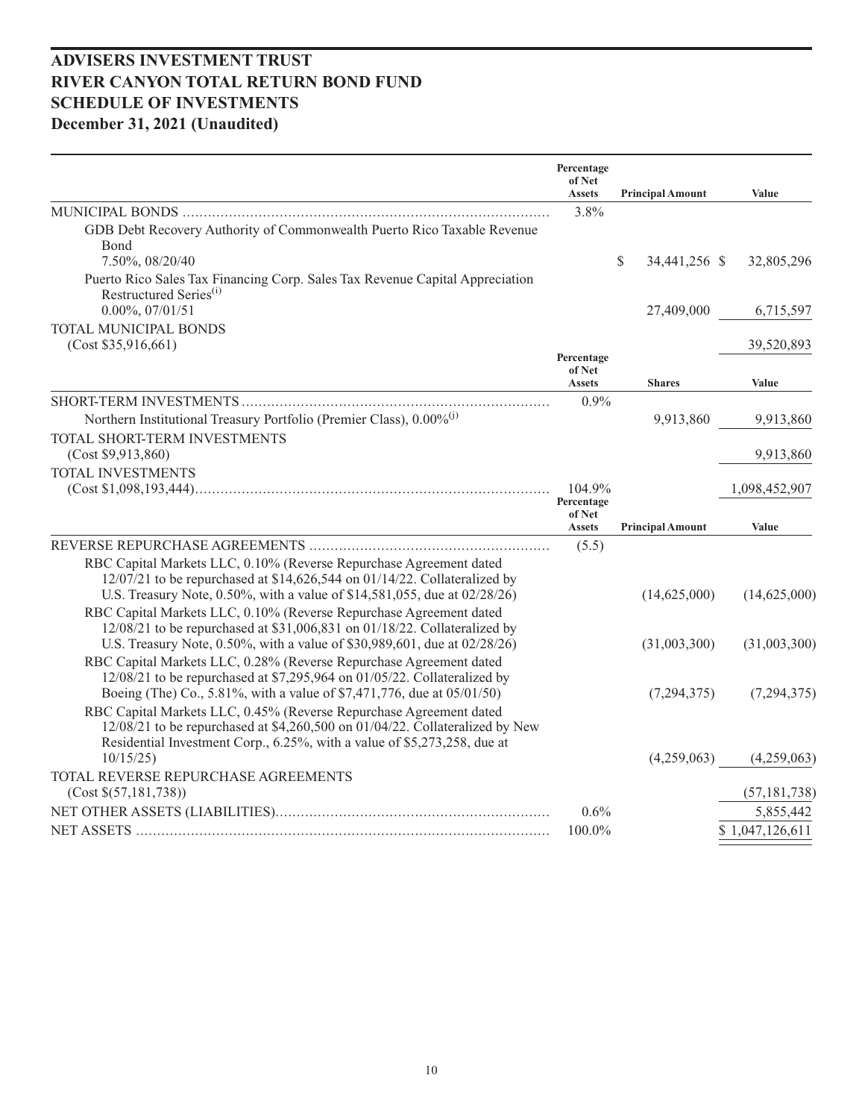|                                                                                                                                                                                                                                | Percentage<br>of Net<br><b>Assets</b> | <b>Principal Amount</b>       | Value           |
|--------------------------------------------------------------------------------------------------------------------------------------------------------------------------------------------------------------------------------|---------------------------------------|-------------------------------|-----------------|
|                                                                                                                                                                                                                                | 3.8%                                  |                               |                 |
| GDB Debt Recovery Authority of Commonwealth Puerto Rico Taxable Revenue<br><b>B</b> ond<br>7.50%, 08/20/40                                                                                                                     |                                       | $\mathbb{S}$<br>34,441,256 \$ | 32,805,296      |
| Puerto Rico Sales Tax Financing Corp. Sales Tax Revenue Capital Appreciation<br>Restructured Series <sup>(i)</sup><br>$0.00\%, 07/01/51$                                                                                       |                                       | 27,409,000                    | 6,715,597       |
| TOTAL MUNICIPAL BONDS<br>(Cost \$35,916,661)                                                                                                                                                                                   |                                       |                               | 39,520,893      |
|                                                                                                                                                                                                                                | Percentage<br>of Net<br><b>Assets</b> | <b>Shares</b>                 | Value           |
|                                                                                                                                                                                                                                | $0.9\%$                               |                               |                 |
| Northern Institutional Treasury Portfolio (Premier Class), 0.00% <sup>(j)</sup><br>TOTAL SHORT-TERM INVESTMENTS                                                                                                                |                                       | 9,913,860                     | 9,913,860       |
| (Cost \$9,913,860)                                                                                                                                                                                                             |                                       |                               | 9,913,860       |
| TOTAL INVESTMENTS                                                                                                                                                                                                              | 104.9%                                |                               | 1,098,452,907   |
|                                                                                                                                                                                                                                | Percentage<br>of Net<br><b>Assets</b> | <b>Principal Amount</b>       | Value           |
|                                                                                                                                                                                                                                | (5.5)                                 |                               |                 |
| RBC Capital Markets LLC, 0.10% (Reverse Repurchase Agreement dated<br>$12/07/21$ to be repurchased at \$14,626,544 on 01/14/22. Collateralized by<br>U.S. Treasury Note, 0.50%, with a value of \$14,581,055, due at 02/28/26) |                                       | (14,625,000)                  | (14,625,000)    |
| RBC Capital Markets LLC, 0.10% (Reverse Repurchase Agreement dated<br>12/08/21 to be repurchased at \$31,006,831 on 01/18/22. Collateralized by<br>U.S. Treasury Note, 0.50%, with a value of \$30,989,601, due at 02/28/26)   |                                       | (31,003,300)                  | (31,003,300)    |
| RBC Capital Markets LLC, 0.28% (Reverse Repurchase Agreement dated<br>12/08/21 to be repurchased at \$7,295,964 on 01/05/22. Collateralized by<br>Boeing (The) Co., 5.81%, with a value of \$7,471,776, due at 05/01/50)       |                                       | (7,294,375)                   | (7,294,375)     |
| RBC Capital Markets LLC, 0.45% (Reverse Repurchase Agreement dated<br>12/08/21 to be repurchased at \$4,260,500 on 01/04/22. Collateralized by New<br>Residential Investment Corp., 6.25%, with a value of \$5,273,258, due at |                                       |                               |                 |
| 10/15/25<br>TOTAL REVERSE REPURCHASE AGREEMENTS                                                                                                                                                                                |                                       | (4,259,063)                   | (4,259,063)     |
| (Cost \$(57,181,738))                                                                                                                                                                                                          |                                       |                               | (57, 181, 738)  |
|                                                                                                                                                                                                                                | 0.6%                                  |                               | 5,855,442       |
|                                                                                                                                                                                                                                | 100.0%                                |                               | \$1,047,126,611 |